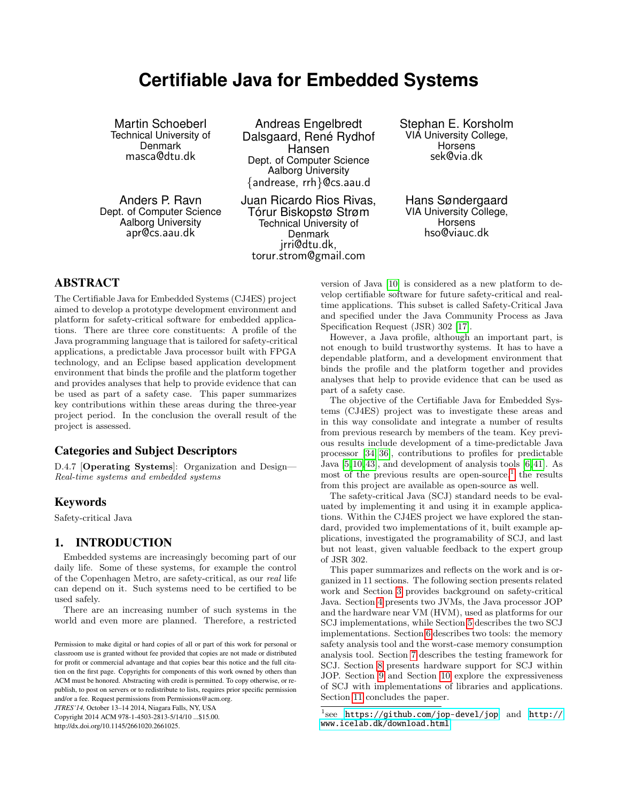# **Certifiable Java for Embedded Systems**

Martin Schoeberl Technical University of Denmark masca@dtu.dk

Anders P. Ravn Dept. of Computer Science Aalborg University apr@cs.aau.dk

Andreas Engelbredt Dalsgaard, René Rydhof Hansen Dept. of Computer Science Aalborg University {andrease, rrh}@cs.aau.d

Juan Ricardo Rios Rivas, Tórur Biskopstø Strøm Technical University of Denmark jrri@dtu.dk, torur.strom@gmail.com

Stephan E. Korsholm VIA University College, Horsens sek@via.dk

Hans Søndergaard VIA University College, **Horsens** hso@viauc.dk

# ABSTRACT

The Certifiable Java for Embedded Systems (CJ4ES) project aimed to develop a prototype development environment and platform for safety-critical software for embedded applications. There are three core constituents: A profile of the Java programming language that is tailored for safety-critical applications, a predictable Java processor built with FPGA technology, and an Eclipse based application development environment that binds the profile and the platform together and provides analyses that help to provide evidence that can be used as part of a safety case. This paper summarizes key contributions within these areas during the three-year project period. In the conclusion the overall result of the project is assessed.

# Categories and Subject Descriptors

D.4.7 [Operating Systems]: Organization and Design— Real-time systems and embedded systems

# Keywords

Safety-critical Java

# 1. INTRODUCTION

Embedded systems are increasingly becoming part of our daily life. Some of these systems, for example the control of the Copenhagen Metro, are safety-critical, as our real life can depend on it. Such systems need to be certified to be used safely.

There are an increasing number of such systems in the world and even more are planned. Therefore, a restricted

*JTRES'14,* October 13–14 2014, Niagara Falls, NY, USA Copyright 2014 ACM 978-1-4503-2813-5/14/10 ...\$15.00.

http://dx.doi.org/10.1145/2661020.2661025.

version of Java [\[10\]](#page-8-0) is considered as a new platform to develop certifiable software for future safety-critical and realtime applications. This subset is called Safety-Critical Java and specified under the Java Community Process as Java Specification Request (JSR) 302 [\[17\]](#page-8-1).

However, a Java profile, although an important part, is not enough to build trustworthy systems. It has to have a dependable platform, and a development environment that binds the profile and the platform together and provides analyses that help to provide evidence that can be used as part of a safety case.

The objective of the Certifiable Java for Embedded Systems (CJ4ES) project was to investigate these areas and in this way consolidate and integrate a number of results from previous research by members of the team. Key previous results include development of a time-predictable Java processor [\[34,](#page-9-0) [36\]](#page-9-1), contributions to profiles for predictable Java [\[5,](#page-8-2) [10,](#page-8-0) [43\]](#page-9-2), and development of analysis tools [\[6,](#page-8-3) [41\]](#page-9-3). As most of the previous results are open-source,<sup>[1](#page-0-0)</sup> the results from this project are available as open-source as well.

The safety-critical Java (SCJ) standard needs to be evaluated by implementing it and using it in example applications. Within the CJ4ES project we have explored the standard, provided two implementations of it, built example applications, investigated the programability of SCJ, and last but not least, given valuable feedback to the expert group of JSR 302.

This paper summarizes and reflects on the work and is organized in 11 sections. The following section presents related work and Section [3](#page-1-0) provides background on safety-critical Java. Section [4](#page-2-0) presents two JVMs, the Java processor JOP and the hardware near VM (HVM), used as platforms for our SCJ implementations, while Section [5](#page-3-0) describes the two SCJ implementations. Section [6](#page-4-0) describes two tools: the memory safety analysis tool and the worst-case memory consumption analysis tool. Section [7](#page-5-0) describes the testing framework for SCJ. Section [8](#page-5-1) presents hardware support for SCJ within JOP. Section [9](#page-6-0) and Section [10](#page-6-1) explore the expressiveness of SCJ with implementations of libraries and applications. Section [11](#page-7-0) concludes the paper.

Permission to make digital or hard copies of all or part of this work for personal or classroom use is granted without fee provided that copies are not made or distributed for profit or commercial advantage and that copies bear this notice and the full citation on the first page. Copyrights for components of this work owned by others than ACM must be honored. Abstracting with credit is permitted. To copy otherwise, or republish, to post on servers or to redistribute to lists, requires prior specific permission and/or a fee. Request permissions from Permissions@acm.org.

<span id="page-0-0"></span><sup>1</sup> see <https://github.com/jop-devel/jop> and [http://](http://www.icelab.dk/download.html) [www.icelab.dk/download.html](http://www.icelab.dk/download.html)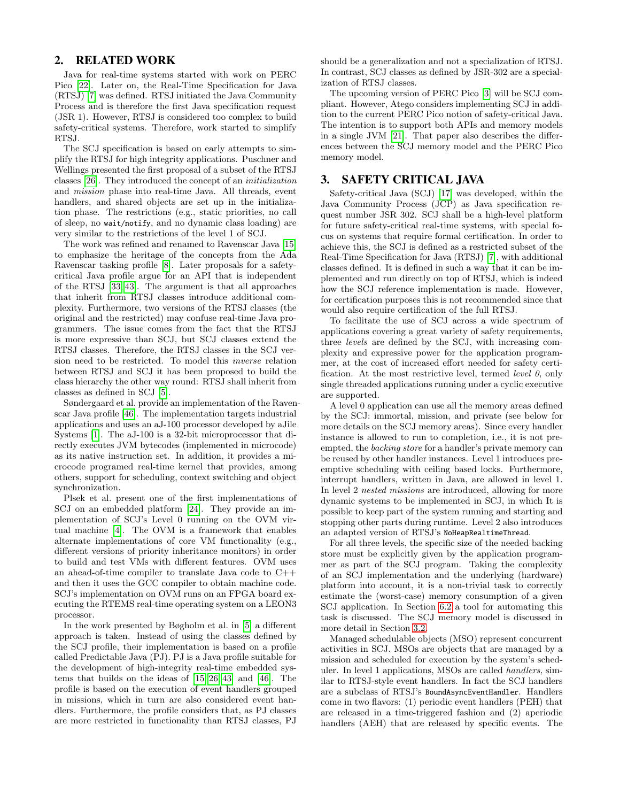# 2. RELATED WORK

Java for real-time systems started with work on PERC Pico [\[22\]](#page-8-4). Later on, the Real-Time Specification for Java (RTSJ) [\[7\]](#page-8-5) was defined. RTSJ initiated the Java Community Process and is therefore the first Java specification request (JSR 1). However, RTSJ is considered too complex to build safety-critical systems. Therefore, work started to simplify RTSJ.

The SCJ specification is based on early attempts to simplify the RTSJ for high integrity applications. Puschner and Wellings presented the first proposal of a subset of the RTSJ classes [\[26\]](#page-8-6). They introduced the concept of an initialization and mission phase into real-time Java. All threads, event handlers, and shared objects are set up in the initialization phase. The restrictions (e.g., static priorities, no call of sleep, no wait/notify, and no dynamic class loading) are very similar to the restrictions of the level 1 of SCJ.

The work was refined and renamed to Ravenscar Java [\[15\]](#page-8-7) to emphasize the heritage of the concepts from the Ada Ravenscar tasking profile [\[8\]](#page-8-8). Later proposals for a safetycritical Java profile argue for an API that is independent of the RTSJ [\[33,](#page-9-4) [43\]](#page-9-2). The argument is that all approaches that inherit from RTSJ classes introduce additional complexity. Furthermore, two versions of the RTSJ classes (the original and the restricted) may confuse real-time Java programmers. The issue comes from the fact that the RTSJ is more expressive than SCJ, but SCJ classes extend the RTSJ classes. Therefore, the RTSJ classes in the SCJ version need to be restricted. To model this inverse relation between RTSJ and SCJ it has been proposed to build the class hierarchy the other way round: RTSJ shall inherit from classes as defined in SCJ [\[5\]](#page-8-2).

Søndergaard et al. provide an implementation of the Ravenscar Java profile [\[46\]](#page-9-5). The implementation targets industrial applications and uses an aJ-100 processor developed by aJile Systems [\[1\]](#page-7-1). The aJ-100 is a 32-bit microprocessor that directly executes JVM bytecodes (implemented in microcode) as its native instruction set. In addition, it provides a microcode programed real-time kernel that provides, among others, support for scheduling, context switching and object synchronization.

Plsek et al. present one of the first implementations of SCJ on an embedded platform [\[24\]](#page-8-9). They provide an implementation of SCJ's Level 0 running on the OVM virtual machine [\[4\]](#page-8-10). The OVM is a framework that enables alternate implementations of core VM functionality (e.g., different versions of priority inheritance monitors) in order to build and test VMs with different features. OVM uses an ahead-of-time compiler to translate Java code to C++ and then it uses the GCC compiler to obtain machine code. SCJ's implementation on OVM runs on an FPGA board executing the RTEMS real-time operating system on a LEON3 processor.

In the work presented by Bøgholm et al. in [\[5\]](#page-8-2) a different approach is taken. Instead of using the classes defined by the SCJ profile, their implementation is based on a profile called Predictable Java (PJ). PJ is a Java profile suitable for the development of high-integrity real-time embedded systems that builds on the ideas of [\[15,](#page-8-7) [26,](#page-8-6) [43\]](#page-9-2) and [\[46\]](#page-9-5). The profile is based on the execution of event handlers grouped in missions, which in turn are also considered event handlers. Furthermore, the profile considers that, as PJ classes are more restricted in functionality than RTSJ classes, PJ should be a generalization and not a specialization of RTSJ. In contrast, SCJ classes as defined by JSR-302 are a specialization of RTSJ classes.

The upcoming version of PERC Pico [\[3\]](#page-8-11) will be SCJ compliant. However, Atego considers implementing SCJ in addition to the current PERC Pico notion of safety-critical Java. The intention is to support both APIs and memory models in a single JVM [\[21\]](#page-8-12). That paper also describes the differences between the SCJ memory model and the PERC Pico memory model.

# <span id="page-1-0"></span>3. SAFETY CRITICAL JAVA

Safety-critical Java (SCJ) [\[17\]](#page-8-1) was developed, within the Java Community Process (JCP) as Java specification request number JSR 302. SCJ shall be a high-level platform for future safety-critical real-time systems, with special focus on systems that require formal certification. In order to achieve this, the SCJ is defined as a restricted subset of the Real-Time Specification for Java (RTSJ) [\[7\]](#page-8-5), with additional classes defined. It is defined in such a way that it can be implemented and run directly on top of RTSJ, which is indeed how the SCJ reference implementation is made. However, for certification purposes this is not recommended since that would also require certification of the full RTSJ.

To facilitate the use of SCJ across a wide spectrum of applications covering a great variety of safety requirements, three levels are defined by the SCJ, with increasing complexity and expressive power for the application programmer, at the cost of increased effort needed for safety certification. At the most restrictive level, termed *level*  $\theta$ , only single threaded applications running under a cyclic executive are supported.

A level 0 application can use all the memory areas defined by the SCJ: immortal, mission, and private (see below for more details on the SCJ memory areas). Since every handler instance is allowed to run to completion, i.e., it is not preempted, the backing store for a handler's private memory can be reused by other handler instances. Level 1 introduces preemptive scheduling with ceiling based locks. Furthermore, interrupt handlers, written in Java, are allowed in level 1. In level 2 nested missions are introduced, allowing for more dynamic systems to be implemented in SCJ, in which It is possible to keep part of the system running and starting and stopping other parts during runtime. Level 2 also introduces an adapted version of RTSJ's NoHeapRealtimeThread.

For all three levels, the specific size of the needed backing store must be explicitly given by the application programmer as part of the SCJ program. Taking the complexity of an SCJ implementation and the underlying (hardware) platform into account, it is a non-trivial task to correctly estimate the (worst-case) memory consumption of a given SCJ application. In Section [6.2](#page-5-2) a tool for automating this task is discussed. The SCJ memory model is discussed in more detail in Section [3.2.](#page-2-1)

Managed schedulable objects (MSO) represent concurrent activities in SCJ. MSOs are objects that are managed by a mission and scheduled for execution by the system's scheduler. In level 1 applications, MSOs are called handlers, similar to RTSJ-style event handlers. In fact the SCJ handlers are a subclass of RTSJ's BoundAsyncEventHandler. Handlers come in two flavors: (1) periodic event handlers (PEH) that are released in a time-triggered fashion and (2) aperiodic handlers (AEH) that are released by specific events. The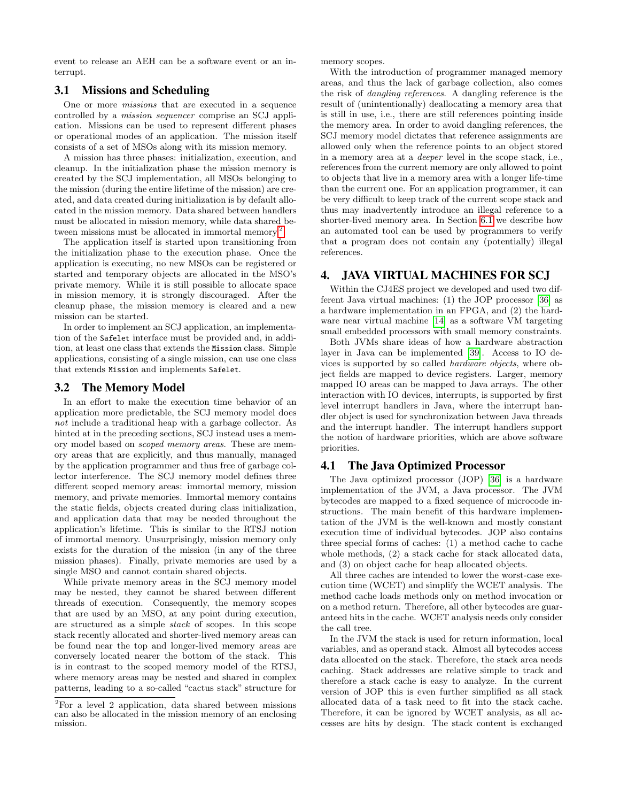event to release an AEH can be a software event or an interrupt.

# 3.1 Missions and Scheduling

One or more missions that are executed in a sequence controlled by a mission sequencer comprise an SCJ application. Missions can be used to represent different phases or operational modes of an application. The mission itself consists of a set of MSOs along with its mission memory.

A mission has three phases: initialization, execution, and cleanup. In the initialization phase the mission memory is created by the SCJ implementation, all MSOs belonging to the mission (during the entire lifetime of the mission) are created, and data created during initialization is by default allocated in the mission memory. Data shared between handlers must be allocated in mission memory, while data shared be-tween missions must be allocated in immortal memory.<sup>[2](#page-2-2)</sup>

The application itself is started upon transitioning from the initialization phase to the execution phase. Once the application is executing, no new MSOs can be registered or started and temporary objects are allocated in the MSO's private memory. While it is still possible to allocate space in mission memory, it is strongly discouraged. After the cleanup phase, the mission memory is cleared and a new mission can be started.

In order to implement an SCJ application, an implementation of the Safelet interface must be provided and, in addition, at least one class that extends the Mission class. Simple applications, consisting of a single mission, can use one class that extends Mission and implements Safelet.

# <span id="page-2-1"></span>3.2 The Memory Model

In an effort to make the execution time behavior of an application more predictable, the SCJ memory model does not include a traditional heap with a garbage collector. As hinted at in the preceding sections, SCJ instead uses a memory model based on scoped memory areas. These are memory areas that are explicitly, and thus manually, managed by the application programmer and thus free of garbage collector interference. The SCJ memory model defines three different scoped memory areas: immortal memory, mission memory, and private memories. Immortal memory contains the static fields, objects created during class initialization, and application data that may be needed throughout the application's lifetime. This is similar to the RTSJ notion of immortal memory. Unsurprisingly, mission memory only exists for the duration of the mission (in any of the three mission phases). Finally, private memories are used by a single MSO and cannot contain shared objects.

While private memory areas in the SCJ memory model may be nested, they cannot be shared between different threads of execution. Consequently, the memory scopes that are used by an MSO, at any point during execution, are structured as a simple stack of scopes. In this scope stack recently allocated and shorter-lived memory areas can be found near the top and longer-lived memory areas are conversely located nearer the bottom of the stack. This is in contrast to the scoped memory model of the RTSJ, where memory areas may be nested and shared in complex patterns, leading to a so-called "cactus stack" structure for memory scopes.

With the introduction of programmer managed memory areas, and thus the lack of garbage collection, also comes the risk of dangling references. A dangling reference is the result of (unintentionally) deallocating a memory area that is still in use, i.e., there are still references pointing inside the memory area. In order to avoid dangling references, the SCJ memory model dictates that reference assignments are allowed only when the reference points to an object stored in a memory area at a deeper level in the scope stack, i.e., references from the current memory are only allowed to point to objects that live in a memory area with a longer life-time than the current one. For an application programmer, it can be very difficult to keep track of the current scope stack and thus may inadvertently introduce an illegal reference to a shorter-lived memory area. In Section [6.1](#page-4-1) we describe how an automated tool can be used by programmers to verify that a program does not contain any (potentially) illegal references.

# <span id="page-2-0"></span>4. JAVA VIRTUAL MACHINES FOR SCJ

Within the CJ4ES project we developed and used two different Java virtual machines: (1) the JOP processor [\[36\]](#page-9-1) as a hardware implementation in an FPGA, and (2) the hardware near virtual machine [\[14\]](#page-8-13) as a software VM targeting small embedded processors with small memory constraints.

Both JVMs share ideas of how a hardware abstraction layer in Java can be implemented [\[39\]](#page-9-6). Access to IO devices is supported by so called hardware objects, where object fields are mapped to device registers. Larger, memory mapped IO areas can be mapped to Java arrays. The other interaction with IO devices, interrupts, is supported by first level interrupt handlers in Java, where the interrupt handler object is used for synchronization between Java threads and the interrupt handler. The interrupt handlers support the notion of hardware priorities, which are above software priorities.

# 4.1 The Java Optimized Processor

The Java optimized processor (JOP) [\[36\]](#page-9-1) is a hardware implementation of the JVM, a Java processor. The JVM bytecodes are mapped to a fixed sequence of microcode instructions. The main benefit of this hardware implementation of the JVM is the well-known and mostly constant execution time of individual bytecodes. JOP also contains three special forms of caches: (1) a method cache to cache whole methods, (2) a stack cache for stack allocated data, and (3) on object cache for heap allocated objects.

All three caches are intended to lower the worst-case execution time (WCET) and simplify the WCET analysis. The method cache loads methods only on method invocation or on a method return. Therefore, all other bytecodes are guaranteed hits in the cache. WCET analysis needs only consider the call tree.

In the JVM the stack is used for return information, local variables, and as operand stack. Almost all bytecodes access data allocated on the stack. Therefore, the stack area needs caching. Stack addresses are relative simple to track and therefore a stack cache is easy to analyze. In the current version of JOP this is even further simplified as all stack allocated data of a task need to fit into the stack cache. Therefore, it can be ignored by WCET analysis, as all accesses are hits by design. The stack content is exchanged

<span id="page-2-2"></span><sup>2</sup>For a level 2 application, data shared between missions can also be allocated in the mission memory of an enclosing mission.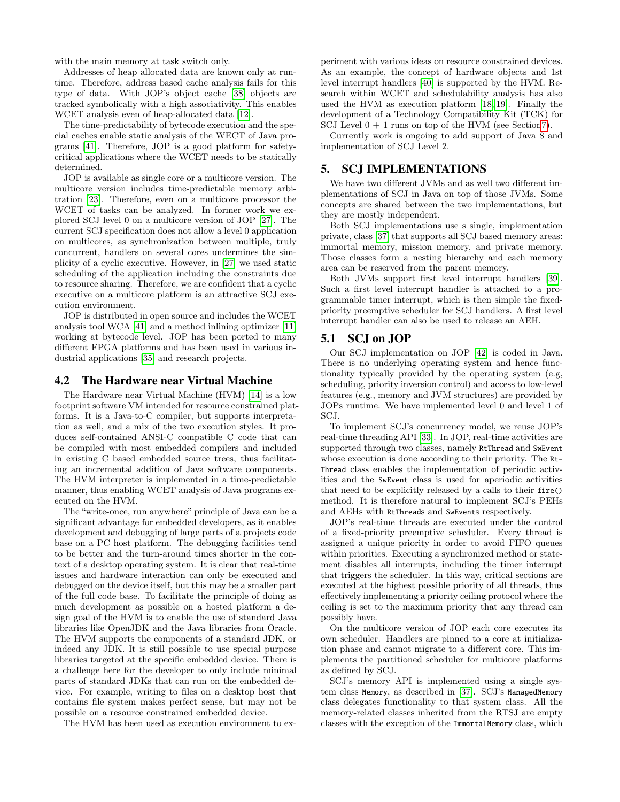with the main memory at task switch only.

Addresses of heap allocated data are known only at runtime. Therefore, address based cache analysis fails for this type of data. With JOP's object cache [\[38\]](#page-9-7) objects are tracked symbolically with a high associativity. This enables WCET analysis even of heap-allocated data [\[12\]](#page-8-14).

The time-predictability of bytecode execution and the special caches enable static analysis of the WECT of Java programs [\[41\]](#page-9-3). Therefore, JOP is a good platform for safetycritical applications where the WCET needs to be statically determined.

JOP is available as single core or a multicore version. The multicore version includes time-predictable memory arbitration [\[23\]](#page-8-15). Therefore, even on a multicore processor the WCET of tasks can be analyzed. In former work we explored SCJ level 0 on a multicore version of JOP [\[27\]](#page-8-16). The current SCJ specification does not allow a level 0 application on multicores, as synchronization between multiple, truly concurrent, handlers on several cores undermines the simplicity of a cyclic executive. However, in [\[27\]](#page-8-16) we used static scheduling of the application including the constraints due to resource sharing. Therefore, we are confident that a cyclic executive on a multicore platform is an attractive SCJ execution environment.

JOP is distributed in open source and includes the WCET analysis tool WCA [\[41\]](#page-9-3) and a method inlining optimizer [\[11\]](#page-8-17) working at bytecode level. JOP has been ported to many different FPGA platforms and has been used in various industrial applications [\[35\]](#page-9-8) and research projects.

#### 4.2 The Hardware near Virtual Machine

The Hardware near Virtual Machine (HVM) [\[14\]](#page-8-13) is a low footprint software VM intended for resource constrained platforms. It is a Java-to-C compiler, but supports interpretation as well, and a mix of the two execution styles. It produces self-contained ANSI-C compatible C code that can be compiled with most embedded compilers and included in existing C based embedded source trees, thus facilitating an incremental addition of Java software components. The HVM interpreter is implemented in a time-predictable manner, thus enabling WCET analysis of Java programs executed on the HVM.

The "write-once, run anywhere" principle of Java can be a significant advantage for embedded developers, as it enables development and debugging of large parts of a projects code base on a PC host platform. The debugging facilities tend to be better and the turn-around times shorter in the context of a desktop operating system. It is clear that real-time issues and hardware interaction can only be executed and debugged on the device itself, but this may be a smaller part of the full code base. To facilitate the principle of doing as much development as possible on a hosted platform a design goal of the HVM is to enable the use of standard Java libraries like OpenJDK and the Java libraries from Oracle. The HVM supports the components of a standard JDK, or indeed any JDK. It is still possible to use special purpose libraries targeted at the specific embedded device. There is a challenge here for the developer to only include minimal parts of standard JDKs that can run on the embedded device. For example, writing to files on a desktop host that contains file system makes perfect sense, but may not be possible on a resource constrained embedded device.

The HVM has been used as execution environment to ex-

periment with various ideas on resource constrained devices. As an example, the concept of hardware objects and 1st level interrupt handlers [\[40\]](#page-9-9) is supported by the HVM. Research within WCET and schedulability analysis has also used the HVM as execution platform [\[18,](#page-8-18) [19\]](#page-8-19). Finally the development of a Technology Compatibility Kit (TCK) for SCJ Level  $0 + 1$  runs on top of the HVM (see Sectio[n7\)](#page-5-0).

Currently work is ongoing to add support of Java 8 and implementation of SCJ Level 2.

## <span id="page-3-0"></span>5. SCJ IMPLEMENTATIONS

We have two different JVMs and as well two different implementations of SCJ in Java on top of those JVMs. Some concepts are shared between the two implementations, but they are mostly independent.

Both SCJ implementations use s single, implementation private, class [\[37\]](#page-9-10) that supports all SCJ based memory areas: immortal memory, mission memory, and private memory. Those classes form a nesting hierarchy and each memory area can be reserved from the parent memory.

Both JVMs support first level interrupt handlers [\[39\]](#page-9-6). Such a first level interrupt handler is attached to a programmable timer interrupt, which is then simple the fixedpriority preemptive scheduler for SCJ handlers. A first level interrupt handler can also be used to release an AEH.

# 5.1 SCJ on JOP

Our SCJ implementation on JOP [\[42\]](#page-9-11) is coded in Java. There is no underlying operating system and hence functionality typically provided by the operating system (e.g, scheduling, priority inversion control) and access to low-level features (e.g., memory and JVM structures) are provided by JOPs runtime. We have implemented level 0 and level 1 of SCJ.

To implement SCJ's concurrency model, we reuse JOP's real-time threading API [\[33\]](#page-9-4). In JOP, real-time activities are supported through two classes, namely RtThread and SwEvent whose execution is done according to their priority. The Rt-Thread class enables the implementation of periodic activities and the SwEvent class is used for aperiodic activities that need to be explicitly released by a calls to their fire() method. It is therefore natural to implement SCJ's PEHs and AEHs with RtThreads and SwEvents respectively.

JOP's real-time threads are executed under the control of a fixed-priority preemptive scheduler. Every thread is assigned a unique priority in order to avoid FIFO queues within priorities. Executing a synchronized method or statement disables all interrupts, including the timer interrupt that triggers the scheduler. In this way, critical sections are executed at the highest possible priority of all threads, thus effectively implementing a priority ceiling protocol where the ceiling is set to the maximum priority that any thread can possibly have.

On the multicore version of JOP each core executes its own scheduler. Handlers are pinned to a core at initialization phase and cannot migrate to a different core. This implements the partitioned scheduler for multicore platforms as defined by SCJ.

SCJ's memory API is implemented using a single system class Memory, as described in [\[37\]](#page-9-10). SCJ's ManagedMemory class delegates functionality to that system class. All the memory-related classes inherited from the RTSJ are empty classes with the exception of the ImmortalMemory class, which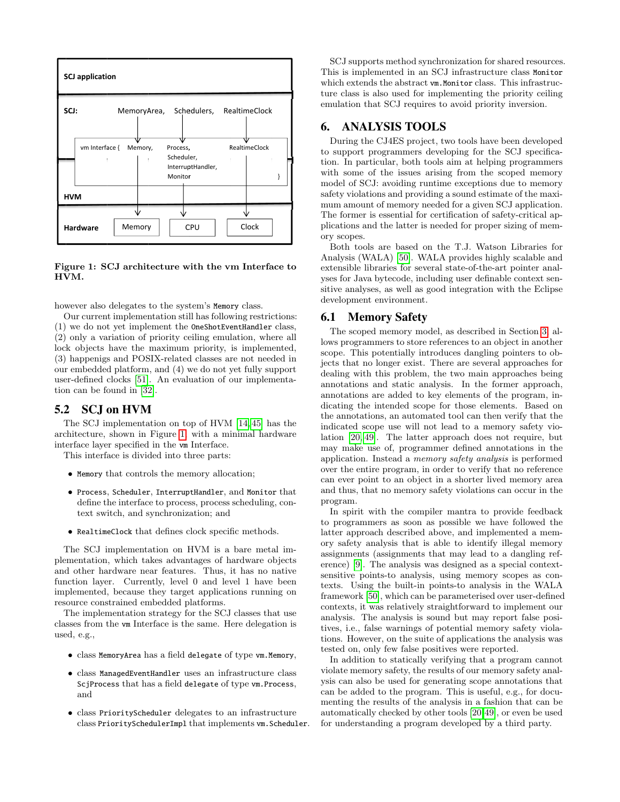

#### <span id="page-4-2"></span>Figure 1: SCJ architecture with the vm Interface to HVM.

however also delegates to the system's Memory class.

Our current implementation still has following restrictions: (1) we do not yet implement the OneShotEventHandler class, (2) only a variation of priority ceiling emulation, where all lock objects have the maximum priority, is implemented, (3) happenigs and POSIX-related classes are not needed in our embedded platform, and (4) we do not yet fully support user-defined clocks [\[51\]](#page-9-12). An evaluation of our implementation can be found in [\[32\]](#page-9-13).

# 5.2 SCJ on HVM

The SCJ implementation on top of HVM [\[14,](#page-8-13) [45\]](#page-9-14) has the architecture, shown in Figure [1,](#page-4-2) with a minimal hardware interface layer specified in the vm Interface.

This interface is divided into three parts:

- Memory that controls the memory allocation;
- Process, Scheduler, InterruptHandler, and Monitor that define the interface to process, process scheduling, context switch, and synchronization; and
- RealtimeClock that defines clock specific methods.

The SCJ implementation on HVM is a bare metal implementation, which takes advantages of hardware objects and other hardware near features. Thus, it has no native function layer. Currently, level 0 and level 1 have been implemented, because they target applications running on resource constrained embedded platforms.

The implementation strategy for the SCJ classes that use classes from the vm Interface is the same. Here delegation is used, e.g.,

- class MemoryArea has a field delegate of type vm.Memory,
- class ManagedEventHandler uses an infrastructure class ScjProcess that has a field delegate of type vm.Process, and
- class PriorityScheduler delegates to an infrastructure class PrioritySchedulerImpl that implements vm.Scheduler.

SCJ supports method synchronization for shared resources. This is implemented in an SCJ infrastructure class Monitor which extends the abstract vm.Monitor class. This infrastructure class is also used for implementing the priority ceiling emulation that SCJ requires to avoid priority inversion.

# <span id="page-4-0"></span>6. ANALYSIS TOOLS

During the CJ4ES project, two tools have been developed to support programmers developing for the SCJ specification. In particular, both tools aim at helping programmers with some of the issues arising from the scoped memory model of SCJ: avoiding runtime exceptions due to memory safety violations and providing a sound estimate of the maximum amount of memory needed for a given SCJ application. The former is essential for certification of safety-critical applications and the latter is needed for proper sizing of memory scopes.

Both tools are based on the T.J. Watson Libraries for Analysis (WALA) [\[50\]](#page-9-15). WALA provides highly scalable and extensible libraries for several state-of-the-art pointer analyses for Java bytecode, including user definable context sensitive analyses, as well as good integration with the Eclipse development environment.

#### <span id="page-4-1"></span>6.1 Memory Safety

The scoped memory model, as described in Section [3,](#page-1-0) allows programmers to store references to an object in another scope. This potentially introduces dangling pointers to objects that no longer exist. There are several approaches for dealing with this problem, the two main approaches being annotations and static analysis. In the former approach, annotations are added to key elements of the program, indicating the intended scope for those elements. Based on the annotations, an automated tool can then verify that the indicated scope use will not lead to a memory safety violation [\[20,](#page-8-20) [49\]](#page-9-16). The latter approach does not require, but may make use of, programmer defined annotations in the application. Instead a memory safety analysis is performed over the entire program, in order to verify that no reference can ever point to an object in a shorter lived memory area and thus, that no memory safety violations can occur in the program.

In spirit with the compiler mantra to provide feedback to programmers as soon as possible we have followed the latter approach described above, and implemented a memory safety analysis that is able to identify illegal memory assignments (assignments that may lead to a dangling reference) [\[9\]](#page-8-21). The analysis was designed as a special contextsensitive points-to analysis, using memory scopes as contexts. Using the built-in points-to analysis in the WALA framework [\[50\]](#page-9-15), which can be parameterised over user-defined contexts, it was relatively straightforward to implement our analysis. The analysis is sound but may report false positives, i.e., false warnings of potential memory safety violations. However, on the suite of applications the analysis was tested on, only few false positives were reported.

In addition to statically verifying that a program cannot violate memory safety, the results of our memory safety analysis can also be used for generating scope annotations that can be added to the program. This is useful, e.g., for documenting the results of the analysis in a fashion that can be automatically checked by other tools [\[20,](#page-8-20)[49\]](#page-9-16), or even be used for understanding a program developed by a third party.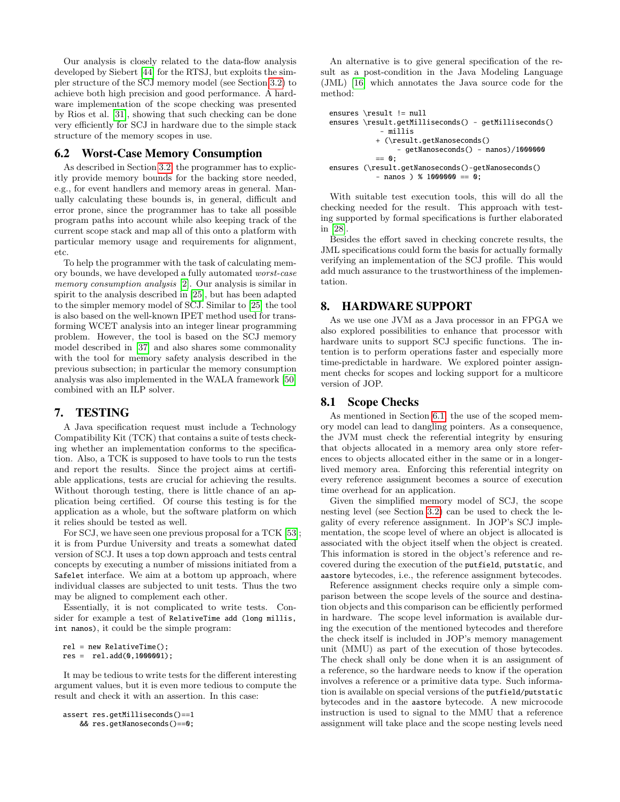Our analysis is closely related to the data-flow analysis developed by Siebert [\[44\]](#page-9-17) for the RTSJ, but exploits the simpler structure of the SCJ memory model (see Section [3.2\)](#page-2-1) to achieve both high precision and good performance. A hardware implementation of the scope checking was presented by Rios et al. [\[31\]](#page-9-18), showing that such checking can be done very efficiently for SCJ in hardware due to the simple stack structure of the memory scopes in use.

#### <span id="page-5-2"></span>6.2 Worst-Case Memory Consumption

As described in Section [3.2,](#page-2-1) the programmer has to explicitly provide memory bounds for the backing store needed, e.g., for event handlers and memory areas in general. Manually calculating these bounds is, in general, difficult and error prone, since the programmer has to take all possible program paths into account while also keeping track of the current scope stack and map all of this onto a platform with particular memory usage and requirements for alignment, etc.

To help the programmer with the task of calculating memory bounds, we have developed a fully automated worst-case memory consumption analysis [\[2\]](#page-7-2). Our analysis is similar in spirit to the analysis described in [\[25\]](#page-8-22), but has been adapted to the simpler memory model of SCJ. Similar to [\[25\]](#page-8-22) the tool is also based on the well-known IPET method used for transforming WCET analysis into an integer linear programming problem. However, the tool is based on the SCJ memory model described in [\[37\]](#page-9-10) and also shares some commonality with the tool for memory safety analysis described in the previous subsection; in particular the memory consumption analysis was also implemented in the WALA framework [\[50\]](#page-9-15) combined with an ILP solver.

# <span id="page-5-0"></span>7. TESTING

A Java specification request must include a Technology Compatibility Kit (TCK) that contains a suite of tests checking whether an implementation conforms to the specification. Also, a TCK is supposed to have tools to run the tests and report the results. Since the project aims at certifiable applications, tests are crucial for achieving the results. Without thorough testing, there is little chance of an application being certified. Of course this testing is for the application as a whole, but the software platform on which it relies should be tested as well.

For SCJ, we have seen one previous proposal for a TCK [\[53\]](#page-9-19); it is from Purdue University and treats a somewhat dated version of SCJ. It uses a top down approach and tests central concepts by executing a number of missions initiated from a Safelet interface. We aim at a bottom up approach, where individual classes are subjected to unit tests. Thus the two may be aligned to complement each other.

Essentially, it is not complicated to write tests. Consider for example a test of RelativeTime add (long millis, int nanos), it could be the simple program:

```
rel = new RelativeTime();
res = rel.add(0,1000001);
```
It may be tedious to write tests for the different interesting argument values, but it is even more tedious to compute the result and check it with an assertion. In this case:

```
assert res.getMilliseconds()==1
    && res.getNanoseconds()==0;
```
An alternative is to give general specification of the result as a post-condition in the Java Modeling Language (JML) [\[16\]](#page-8-23) which annotates the Java source code for the method:

```
ensures \result != null
ensures \result.getMilliseconds() - getMilliseconds()
            - millis
           + (\result.getNanoseconds()
                  getNanoseconds() - nanos)/1000000
           == 0:ensures (\result.getNanoseconds()-getNanoseconds()
           - nanos ) % 1000000 == 0;
```
With suitable test execution tools, this will do all the checking needed for the result. This approach with testing supported by formal specifications is further elaborated in [\[28\]](#page-8-24).

Besides the effort saved in checking concrete results, the JML specifications could form the basis for actually formally verifying an implementation of the SCJ profile. This would add much assurance to the trustworthiness of the implementation.

#### <span id="page-5-1"></span>8. HARDWARE SUPPORT

As we use one JVM as a Java processor in an FPGA we also explored possibilities to enhance that processor with hardware units to support SCJ specific functions. The intention is to perform operations faster and especially more time-predictable in hardware. We explored pointer assignment checks for scopes and locking support for a multicore version of JOP.

#### 8.1 Scope Checks

As mentioned in Section [6.1,](#page-4-1) the use of the scoped memory model can lead to dangling pointers. As a consequence, the JVM must check the referential integrity by ensuring that objects allocated in a memory area only store references to objects allocated either in the same or in a longerlived memory area. Enforcing this referential integrity on every reference assignment becomes a source of execution time overhead for an application.

Given the simplified memory model of SCJ, the scope nesting level (see Section [3.2\)](#page-2-1) can be used to check the legality of every reference assignment. In JOP's SCJ implementation, the scope level of where an object is allocated is associated with the object itself when the object is created. This information is stored in the object's reference and recovered during the execution of the putfield, putstatic, and aastore bytecodes, i.e., the reference assignment bytecodes.

Reference assignment checks require only a simple comparison between the scope levels of the source and destination objects and this comparison can be efficiently performed in hardware. The scope level information is available during the execution of the mentioned bytecodes and therefore the check itself is included in JOP's memory management unit (MMU) as part of the execution of those bytecodes. The check shall only be done when it is an assignment of a reference, so the hardware needs to know if the operation involves a reference or a primitive data type. Such information is available on special versions of the putfield/putstatic bytecodes and in the aastore bytecode. A new microcode instruction is used to signal to the MMU that a reference assignment will take place and the scope nesting levels need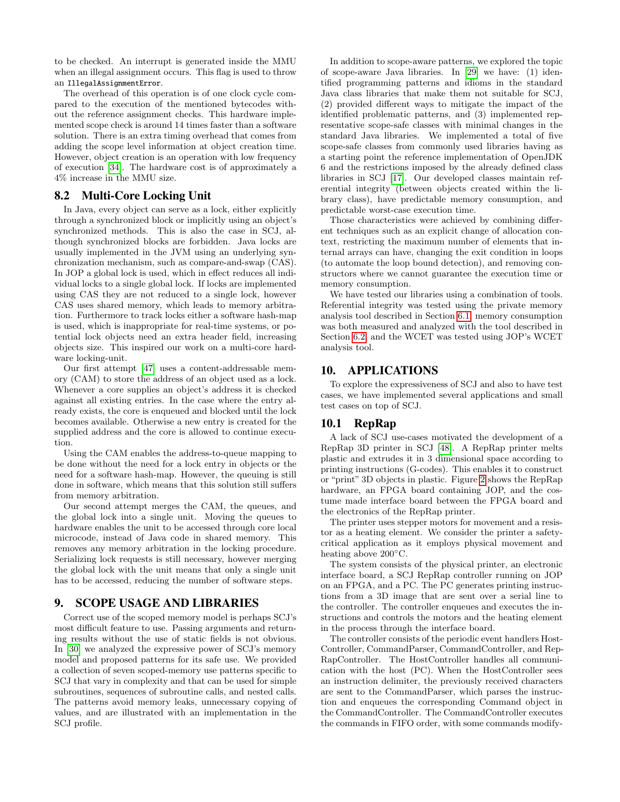to be checked. An interrupt is generated inside the MMU when an illegal assignment occurs. This flag is used to throw an IllegalAssignmentError.

The overhead of this operation is of one clock cycle compared to the execution of the mentioned bytecodes without the reference assignment checks. This hardware implemented scope check is around 14 times faster than a software solution. There is an extra timing overhead that comes from adding the scope level information at object creation time. However, object creation is an operation with low frequency of execution [\[34\]](#page-9-0). The hardware cost is of approximately a 4% increase in the MMU size.

# 8.2 Multi-Core Locking Unit

In Java, every object can serve as a lock, either explicitly through a synchronized block or implicitly using an object's synchronized methods. This is also the case in SCJ, although synchronized blocks are forbidden. Java locks are usually implemented in the JVM using an underlying synchronization mechanism, such as compare-and-swap (CAS). In JOP a global lock is used, which in effect reduces all individual locks to a single global lock. If locks are implemented using CAS they are not reduced to a single lock, however CAS uses shared memory, which leads to memory arbitration. Furthermore to track locks either a software hash-map is used, which is inappropriate for real-time systems, or potential lock objects need an extra header field, increasing objects size. This inspired our work on a multi-core hardware locking-unit.

Our first attempt [\[47\]](#page-9-20) uses a content-addressable memory (CAM) to store the address of an object used as a lock. Whenever a core supplies an object's address it is checked against all existing entries. In the case where the entry already exists, the core is enqueued and blocked until the lock becomes available. Otherwise a new entry is created for the supplied address and the core is allowed to continue execution.

Using the CAM enables the address-to-queue mapping to be done without the need for a lock entry in objects or the need for a software hash-map. However, the queuing is still done in software, which means that this solution still suffers from memory arbitration.

Our second attempt merges the CAM, the queues, and the global lock into a single unit. Moving the queues to hardware enables the unit to be accessed through core local microcode, instead of Java code in shared memory. This removes any memory arbitration in the locking procedure. Serializing lock requests is still necessary, however merging the global lock with the unit means that only a single unit has to be accessed, reducing the number of software steps.

# <span id="page-6-0"></span>9. SCOPE USAGE AND LIBRARIES

Correct use of the scoped memory model is perhaps SCJ's most difficult feature to use. Passing arguments and returning results without the use of static fields is not obvious. In [\[30\]](#page-9-21) we analyzed the expressive power of SCJ's memory model and proposed patterns for its safe use. We provided a collection of seven scoped-memory use patterns specific to SCJ that vary in complexity and that can be used for simple subroutines, sequences of subroutine calls, and nested calls. The patterns avoid memory leaks, unnecessary copying of values, and are illustrated with an implementation in the SCJ profile.

In addition to scope-aware patterns, we explored the topic of scope-aware Java libraries. In [\[29\]](#page-9-22) we have: (1) identified programming patterns and idioms in the standard Java class libraries that make them not suitable for SCJ, (2) provided different ways to mitigate the impact of the identified problematic patterns, and (3) implemented representative scope-safe classes with minimal changes in the standard Java libraries. We implemented a total of five scope-safe classes from commonly used libraries having as a starting point the reference implementation of OpenJDK 6 and the restrictions imposed by the already defined class libraries in SCJ [\[17\]](#page-8-1). Our developed classes maintain referential integrity (between objects created within the library class), have predictable memory consumption, and predictable worst-case execution time.

Those characteristics were achieved by combining different techniques such as an explicit change of allocation context, restricting the maximum number of elements that internal arrays can have, changing the exit condition in loops (to automate the loop bound detection), and removing constructors where we cannot guarantee the execution time or memory consumption.

We have tested our libraries using a combination of tools. Referential integrity was tested using the private memory analysis tool described in Section [6.1,](#page-4-1) memory consumption was both measured and analyzed with the tool described in Section [6.2,](#page-5-2) and the WCET was tested using JOP's WCET analysis tool.

# <span id="page-6-1"></span>10. APPLICATIONS

To explore the expressiveness of SCJ and also to have test cases, we have implemented several applications and small test cases on top of SCJ.

# 10.1 RepRap

A lack of SCJ use-cases motivated the development of a RepRap 3D printer in SCJ [\[48\]](#page-9-23). A RepRap printer melts plastic and extrudes it in 3 dimensional space according to printing instructions (G-codes). This enables it to construct or "print" 3D objects in plastic. Figure [2](#page-7-3) shows the RepRap hardware, an FPGA board containing JOP, and the costume made interface board between the FPGA board and the electronics of the RepRap printer.

The printer uses stepper motors for movement and a resistor as a heating element. We consider the printer a safetycritical application as it employs physical movement and heating above 200<sup>°</sup>C.

The system consists of the physical printer, an electronic interface board, a SCJ RepRap controller running on JOP on an FPGA, and a PC. The PC generates printing instructions from a 3D image that are sent over a serial line to the controller. The controller enqueues and executes the instructions and controls the motors and the heating element in the process through the interface board.

The controller consists of the periodic event handlers Host-Controller, CommandParser, CommandController, and Rep-RapController. The HostController handles all communication with the host (PC). When the HostController sees an instruction delimiter, the previously received characters are sent to the CommandParser, which parses the instruction and enqueues the corresponding Command object in the CommandController. The CommandController executes the commands in FIFO order, with some commands modify-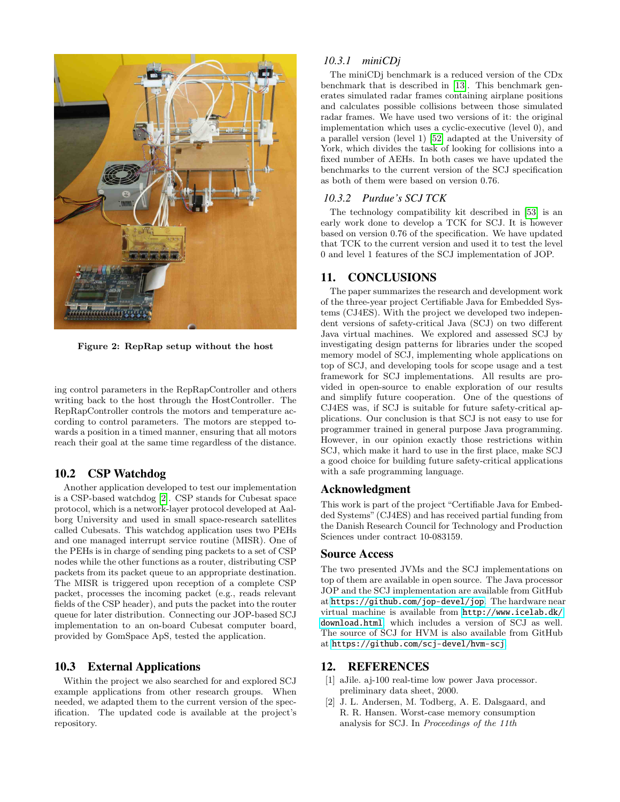

Figure 2: RepRap setup without the host

<span id="page-7-3"></span>ing control parameters in the RepRapController and others writing back to the host through the HostController. The RepRapController controls the motors and temperature according to control parameters. The motors are stepped towards a position in a timed manner, ensuring that all motors reach their goal at the same time regardless of the distance.

## 10.2 CSP Watchdog

Another application developed to test our implementation is a CSP-based watchdog [\[2\]](#page-7-2). CSP stands for Cubesat space protocol, which is a network-layer protocol developed at Aalborg University and used in small space-research satellites called Cubesats. This watchdog application uses two PEHs and one managed interrupt service routine (MISR). One of the PEHs is in charge of sending ping packets to a set of CSP nodes while the other functions as a router, distributing CSP packets from its packet queue to an appropriate destination. The MISR is triggered upon reception of a complete CSP packet, processes the incoming packet (e.g., reads relevant fields of the CSP header), and puts the packet into the router queue for later distribution. Connecting our JOP-based SCJ implementation to an on-board Cubesat computer board, provided by GomSpace ApS, tested the application.

## 10.3 External Applications

Within the project we also searched for and explored SCJ example applications from other research groups. When needed, we adapted them to the current version of the specification. The updated code is available at the project's repository.

#### *10.3.1 miniCDj*

The miniCDj benchmark is a reduced version of the CDx benchmark that is described in [\[13\]](#page-8-25). This benchmark generates simulated radar frames containing airplane positions and calculates possible collisions between those simulated radar frames. We have used two versions of it: the original implementation which uses a cyclic-executive (level 0), and a parallel version (level 1) [\[52\]](#page-9-24) adapted at the University of York, which divides the task of looking for collisions into a fixed number of AEHs. In both cases we have updated the benchmarks to the current version of the SCJ specification as both of them were based on version 0.76.

#### *10.3.2 Purdue's SCJ TCK*

The technology compatibility kit described in [\[53\]](#page-9-19) is an early work done to develop a TCK for SCJ. It is however based on version 0.76 of the specification. We have updated that TCK to the current version and used it to test the level 0 and level 1 features of the SCJ implementation of JOP.

# <span id="page-7-0"></span>11. CONCLUSIONS

The paper summarizes the research and development work of the three-year project Certifiable Java for Embedded Systems (CJ4ES). With the project we developed two independent versions of safety-critical Java (SCJ) on two different Java virtual machines. We explored and assessed SCJ by investigating design patterns for libraries under the scoped memory model of SCJ, implementing whole applications on top of SCJ, and developing tools for scope usage and a test framework for SCJ implementations. All results are provided in open-source to enable exploration of our results and simplify future cooperation. One of the questions of CJ4ES was, if SCJ is suitable for future safety-critical applications. Our conclusion is that SCJ is not easy to use for programmer trained in general purpose Java programming. However, in our opinion exactly those restrictions within SCJ, which make it hard to use in the first place, make SCJ a good choice for building future safety-critical applications with a safe programming language.

### Acknowledgment

This work is part of the project "Certifiable Java for Embedded Systems" (CJ4ES) and has received partial funding from the Danish Research Council for Technology and Production Sciences under contract 10-083159.

#### Source Access

The two presented JVMs and the SCJ implementations on top of them are available in open source. The Java processor JOP and the SCJ implementation are available from GitHub at <https://github.com/jop-devel/jop>. The hardware near virtual machine is available from [http://www.icelab.dk/](http://www.icelab.dk/download.html) [download.html](http://www.icelab.dk/download.html), which includes a version of SCJ as well. The source of SCJ for HVM is also available from GitHub at <https://github.com/scj-devel/hvm-scj>.

## 12. REFERENCES

- <span id="page-7-1"></span>[1] aJile. aj-100 real-time low power Java processor. preliminary data sheet, 2000.
- <span id="page-7-2"></span>[2] J. L. Andersen, M. Todberg, A. E. Dalsgaard, and R. R. Hansen. Worst-case memory consumption analysis for SCJ. In Proceedings of the 11th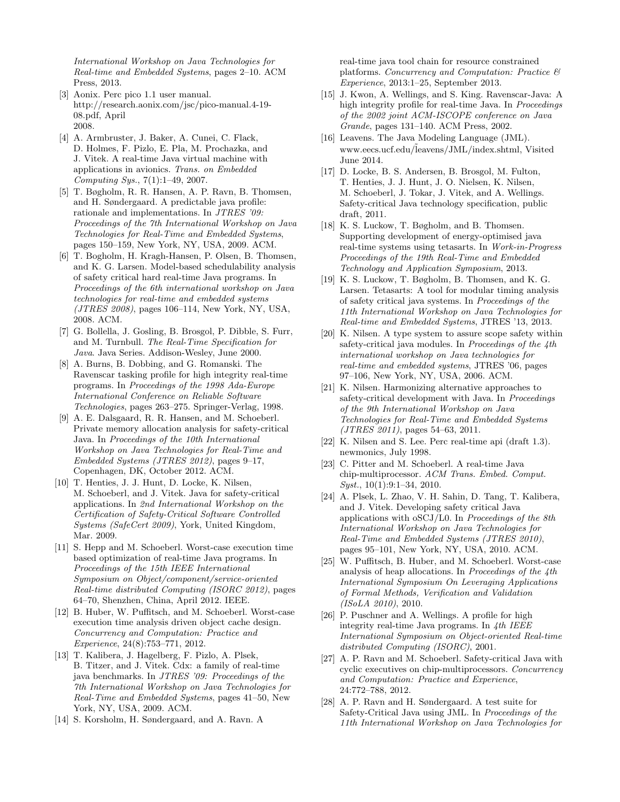International Workshop on Java Technologies for Real-time and Embedded Systems, pages 2–10. ACM Press, 2013.

- <span id="page-8-11"></span>[3] Aonix. Perc pico 1.1 user manual. http://research.aonix.com/jsc/pico-manual.4-19- 08.pdf, April 2008.
- <span id="page-8-10"></span>[4] A. Armbruster, J. Baker, A. Cunei, C. Flack, D. Holmes, F. Pizlo, E. Pla, M. Prochazka, and J. Vitek. A real-time Java virtual machine with applications in avionics. Trans. on Embedded Computing Sys., 7(1):1–49, 2007.
- <span id="page-8-2"></span>[5] T. Bøgholm, R. R. Hansen, A. P. Ravn, B. Thomsen, and H. Søndergaard. A predictable java profile: rationale and implementations. In JTRES '09: Proceedings of the 7th International Workshop on Java Technologies for Real-Time and Embedded Systems, pages 150–159, New York, NY, USA, 2009. ACM.
- <span id="page-8-3"></span>[6] T. Bogholm, H. Kragh-Hansen, P. Olsen, B. Thomsen, and K. G. Larsen. Model-based schedulability analysis of safety critical hard real-time Java programs. In Proceedings of the 6th international workshop on Java technologies for real-time and embedded systems (JTRES 2008), pages 106–114, New York, NY, USA, 2008. ACM.
- <span id="page-8-5"></span>[7] G. Bollella, J. Gosling, B. Brosgol, P. Dibble, S. Furr, and M. Turnbull. The Real-Time Specification for Java. Java Series. Addison-Wesley, June 2000.
- <span id="page-8-8"></span>[8] A. Burns, B. Dobbing, and G. Romanski. The Ravenscar tasking profile for high integrity real-time programs. In Proceedings of the 1998 Ada-Europe International Conference on Reliable Software Technologies, pages 263–275. Springer-Verlag, 1998.
- <span id="page-8-21"></span>[9] A. E. Dalsgaard, R. R. Hansen, and M. Schoeberl. Private memory allocation analysis for safety-critical Java. In Proceedings of the 10th International Workshop on Java Technologies for Real-Time and Embedded Systems (JTRES 2012), pages 9–17, Copenhagen, DK, October 2012. ACM.
- <span id="page-8-0"></span>[10] T. Henties, J. J. Hunt, D. Locke, K. Nilsen, M. Schoeberl, and J. Vitek. Java for safety-critical applications. In 2nd International Workshop on the Certification of Safety-Critical Software Controlled Systems (SafeCert 2009), York, United Kingdom, Mar. 2009.
- <span id="page-8-17"></span>[11] S. Hepp and M. Schoeberl. Worst-case execution time based optimization of real-time Java programs. In Proceedings of the 15th IEEE International Symposium on Object/component/service-oriented Real-time distributed Computing (ISORC 2012), pages 64–70, Shenzhen, China, April 2012. IEEE.
- <span id="page-8-14"></span>[12] B. Huber, W. Puffitsch, and M. Schoeberl. Worst-case execution time analysis driven object cache design. Concurrency and Computation: Practice and Experience, 24(8):753–771, 2012.
- <span id="page-8-25"></span>[13] T. Kalibera, J. Hagelberg, F. Pizlo, A. Plsek, B. Titzer, and J. Vitek. Cdx: a family of real-time java benchmarks. In JTRES '09: Proceedings of the 7th International Workshop on Java Technologies for Real-Time and Embedded Systems, pages 41–50, New York, NY, USA, 2009. ACM.
- <span id="page-8-13"></span>[14] S. Korsholm, H. Søndergaard, and A. Ravn. A

real-time java tool chain for resource constrained platforms. Concurrency and Computation: Practice & Experience, 2013:1–25, September 2013.

- <span id="page-8-7"></span>[15] J. Kwon, A. Wellings, and S. King. Ravenscar-Java: A high integrity profile for real-time Java. In Proceedings of the 2002 joint ACM-ISCOPE conference on Java Grande, pages 131–140. ACM Press, 2002.
- <span id="page-8-23"></span>[16] Leavens. The Java Modeling Language (JML). www.eecs.ucf.edu/˜leavens/JML/index.shtml, Visited June 2014.
- <span id="page-8-1"></span>[17] D. Locke, B. S. Andersen, B. Brosgol, M. Fulton, T. Henties, J. J. Hunt, J. O. Nielsen, K. Nilsen, M. Schoeberl, J. Tokar, J. Vitek, and A. Wellings. Safety-critical Java technology specification, public draft, 2011.
- <span id="page-8-18"></span>[18] K. S. Luckow, T. Bøgholm, and B. Thomsen. Supporting development of energy-optimised java real-time systems using tetasarts. In Work-in-Progress Proceedings of the 19th Real-Time and Embedded Technology and Application Symposium, 2013.
- <span id="page-8-19"></span>[19] K. S. Luckow, T. Bøgholm, B. Thomsen, and K. G. Larsen. Tetasarts: A tool for modular timing analysis of safety critical java systems. In Proceedings of the 11th International Workshop on Java Technologies for Real-time and Embedded Systems, JTRES '13, 2013.
- <span id="page-8-20"></span>[20] K. Nilsen. A type system to assure scope safety within safety-critical java modules. In Proceedings of the 4th international workshop on Java technologies for real-time and embedded systems, JTRES '06, pages 97–106, New York, NY, USA, 2006. ACM.
- <span id="page-8-12"></span>[21] K. Nilsen. Harmonizing alternative approaches to safety-critical development with Java. In Proceedings of the 9th International Workshop on Java Technologies for Real-Time and Embedded Systems  $(JTRES 2011)$ , pages 54–63, 2011.
- <span id="page-8-4"></span>[22] K. Nilsen and S. Lee. Perc real-time api (draft 1.3). newmonics, July 1998.
- <span id="page-8-15"></span>[23] C. Pitter and M. Schoeberl. A real-time Java chip-multiprocessor. ACM Trans. Embed. Comput.  $Syst., 10(1):9:1-34, 2010.$
- <span id="page-8-9"></span>[24] A. Plsek, L. Zhao, V. H. Sahin, D. Tang, T. Kalibera, and J. Vitek. Developing safety critical Java applications with  $\mathrm{o}\mathrm{SCJ}$ /L0. In *Proceedings of the 8th* International Workshop on Java Technologies for Real-Time and Embedded Systems (JTRES 2010), pages 95–101, New York, NY, USA, 2010. ACM.
- <span id="page-8-22"></span>[25] W. Puffitsch, B. Huber, and M. Schoeberl. Worst-case analysis of heap allocations. In Proceedings of the 4th International Symposium On Leveraging Applications of Formal Methods, Verification and Validation (ISoLA 2010), 2010.
- <span id="page-8-6"></span>[26] P. Puschner and A. Wellings. A profile for high integrity real-time Java programs. In  $4th$  IEEE International Symposium on Object-oriented Real-time distributed Computing (ISORC), 2001.
- <span id="page-8-16"></span>[27] A. P. Ravn and M. Schoeberl. Safety-critical Java with cyclic executives on chip-multiprocessors. Concurrency and Computation: Practice and Experience, 24:772–788, 2012.
- <span id="page-8-24"></span>[28] A. P. Ravn and H. Søndergaard. A test suite for Safety-Critical Java using JML. In Proceedings of the 11th International Workshop on Java Technologies for